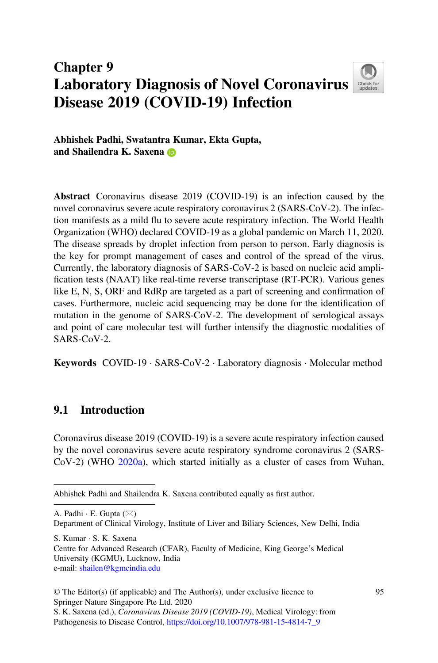# Chapter 9 Laboratory Diagnosis of Novel Coronavirus Disease 2019 (COVID-19) Infection



Abhishek Padhi, Swatantra Kumar, Ekta Gupta, and Shailendra K. Saxena

Abstract Coronavirus disease 2019 (COVID-19) is an infection caused by the novel coronavirus severe acute respiratory coronavirus 2 (SARS-CoV-2). The infection manifests as a mild flu to severe acute respiratory infection. The World Health Organization (WHO) declared COVID-19 as a global pandemic on March 11, 2020. The disease spreads by droplet infection from person to person. Early diagnosis is the key for prompt management of cases and control of the spread of the virus. Currently, the laboratory diagnosis of SARS-CoV-2 is based on nucleic acid amplification tests (NAAT) like real-time reverse transcriptase (RT-PCR). Various genes like E, N, S, ORF and RdRp are targeted as a part of screening and confirmation of cases. Furthermore, nucleic acid sequencing may be done for the identification of mutation in the genome of SARS-CoV-2. The development of serological assays and point of care molecular test will further intensify the diagnostic modalities of SARS-CoV-2.

Keywords COVID-19 · SARS-CoV-2 · Laboratory diagnosis · Molecular method

## 9.1 Introduction

Coronavirus disease 2019 (COVID-19) is a severe acute respiratory infection caused by the novel coronavirus severe acute respiratory syndrome coronavirus 2 (SARS-CoV-2) (WHO [2020a\)](#page-12-0), which started initially as a cluster of cases from Wuhan,

A. Padhi  $\cdot$  E. Gupta ( $\boxtimes$ )

Department of Clinical Virology, Institute of Liver and Biliary Sciences, New Delhi, India

S. Kumar · S. K. Saxena Centre for Advanced Research (CFAR), Faculty of Medicine, King George's Medical University (KGMU), Lucknow, India e-mail: [shailen@kgmcindia.edu](mailto:shailen@kgmcindia.edu)

Abhishek Padhi and Shailendra K. Saxena contributed equally as first author.

<sup>©</sup> The Editor(s) (if applicable) and The Author(s), under exclusive licence to Springer Nature Singapore Pte Ltd. 2020 S. K. Saxena (ed.), Coronavirus Disease 2019 (COVID-19), Medical Virology: from

Pathogenesis to Disease Control, [https://doi.org/10.1007/978-981-15-4814-7\\_9](https://doi.org/10.1007/978-981-15-4814-7_9)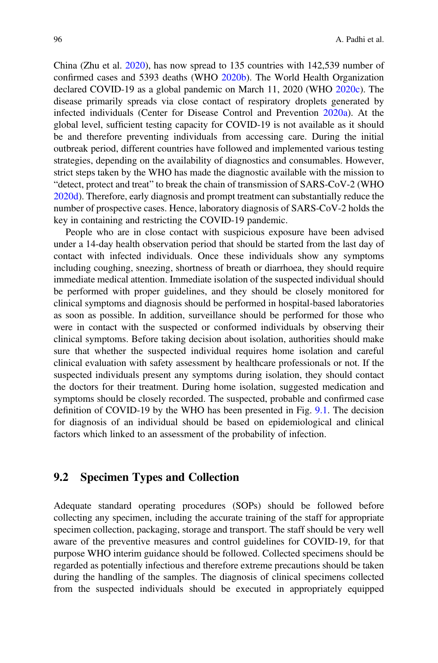China (Zhu et al. [2020\)](#page-12-1), has now spread to 135 countries with 142,539 number of confirmed cases and 5393 deaths (WHO [2020b](#page-12-2)). The World Health Organization declared COVID-19 as a global pandemic on March 11, 2020 (WHO [2020c](#page-12-3)). The disease primarily spreads via close contact of respiratory droplets generated by infected individuals (Center for Disease Control and Prevention [2020a\)](#page-11-0). At the global level, sufficient testing capacity for COVID-19 is not available as it should be and therefore preventing individuals from accessing care. During the initial outbreak period, different countries have followed and implemented various testing strategies, depending on the availability of diagnostics and consumables. However, strict steps taken by the WHO has made the diagnostic available with the mission to "detect, protect and treat" to break the chain of transmission of SARS-CoV-2 (WHO [2020d\)](#page-12-4). Therefore, early diagnosis and prompt treatment can substantially reduce the number of prospective cases. Hence, laboratory diagnosis of SARS-CoV-2 holds the key in containing and restricting the COVID-19 pandemic.

People who are in close contact with suspicious exposure have been advised under a 14-day health observation period that should be started from the last day of contact with infected individuals. Once these individuals show any symptoms including coughing, sneezing, shortness of breath or diarrhoea, they should require immediate medical attention. Immediate isolation of the suspected individual should be performed with proper guidelines, and they should be closely monitored for clinical symptoms and diagnosis should be performed in hospital-based laboratories as soon as possible. In addition, surveillance should be performed for those who were in contact with the suspected or conformed individuals by observing their clinical symptoms. Before taking decision about isolation, authorities should make sure that whether the suspected individual requires home isolation and careful clinical evaluation with safety assessment by healthcare professionals or not. If the suspected individuals present any symptoms during isolation, they should contact the doctors for their treatment. During home isolation, suggested medication and symptoms should be closely recorded. The suspected, probable and confirmed case definition of COVID-19 by the WHO has been presented in Fig. [9.1.](#page-2-0) The decision for diagnosis of an individual should be based on epidemiological and clinical factors which linked to an assessment of the probability of infection.

### 9.2 Specimen Types and Collection

Adequate standard operating procedures (SOPs) should be followed before collecting any specimen, including the accurate training of the staff for appropriate specimen collection, packaging, storage and transport. The staff should be very well aware of the preventive measures and control guidelines for COVID-19, for that purpose WHO interim guidance should be followed. Collected specimens should be regarded as potentially infectious and therefore extreme precautions should be taken during the handling of the samples. The diagnosis of clinical specimens collected from the suspected individuals should be executed in appropriately equipped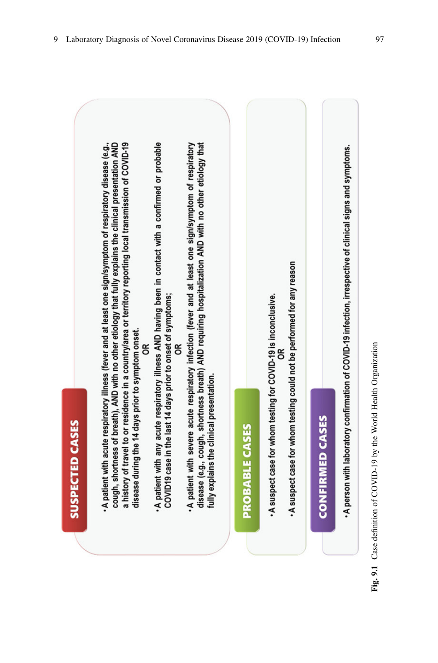<span id="page-2-0"></span>

| <b>SUSPECTED CASES</b>                                                                                                                                                                                                                                                                                                                                                                               |  |
|------------------------------------------------------------------------------------------------------------------------------------------------------------------------------------------------------------------------------------------------------------------------------------------------------------------------------------------------------------------------------------------------------|--|
| • A patient with acute respiratory illness (fever and at least one sign/symptom of respiratory disease (e.g.,<br>a history of travel to or residence in a country/area or territory reporting local transmission of COVID-19<br>cough, shortness of breath), AND with no other etiology that fully explains the clinical presentation AND<br>disease during the 14 days prior to symptom onset.<br>g |  |
| A patient with any acute respiratory illness AND having been in contact with a confirmed or probable<br>COVID19 case in the last 14 days prior to onset or symptoms;<br>g                                                                                                                                                                                                                            |  |
| disease (e.g., cough, shortness breath) AND requiring hospitalization AND with no other etiology that<br>A patient with severe acute respiratory infection (fever and at least one sign/symptom of respiratory<br>fully explains the clinical presentation.                                                                                                                                          |  |
| <b>PROBABLE CASES</b>                                                                                                                                                                                                                                                                                                                                                                                |  |
| . A suspect case for whom testing could not be performed for any reason<br>. A suspect case for whom testing for COVID-19 is inconclusive.                                                                                                                                                                                                                                                           |  |
| <b>CONFIRMED CASES</b>                                                                                                                                                                                                                                                                                                                                                                               |  |
| A person with laboratory confirmation of COVID-19 infection, irrespective of clinical signs and symptoms.                                                                                                                                                                                                                                                                                            |  |

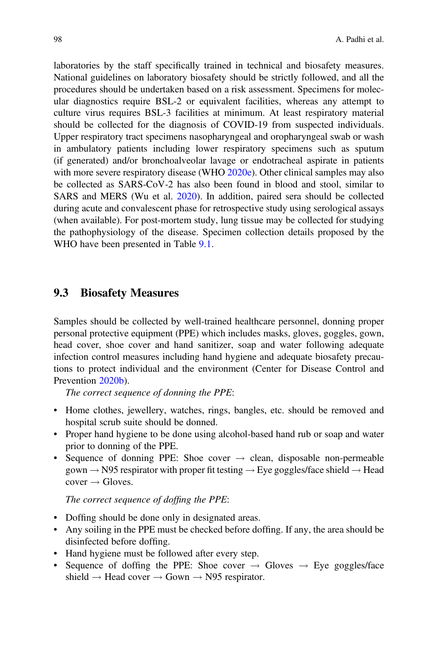laboratories by the staff specifically trained in technical and biosafety measures. National guidelines on laboratory biosafety should be strictly followed, and all the procedures should be undertaken based on a risk assessment. Specimens for molecular diagnostics require BSL-2 or equivalent facilities, whereas any attempt to culture virus requires BSL-3 facilities at minimum. At least respiratory material should be collected for the diagnosis of COVID-19 from suspected individuals. Upper respiratory tract specimens nasopharyngeal and oropharyngeal swab or wash in ambulatory patients including lower respiratory specimens such as sputum (if generated) and/or bronchoalveolar lavage or endotracheal aspirate in patients with more severe respiratory disease (WHO  $2020e$ ). Other clinical samples may also be collected as SARS-CoV-2 has also been found in blood and stool, similar to SARS and MERS (Wu et al. [2020\)](#page-12-6). In addition, paired sera should be collected during acute and convalescent phase for retrospective study using serological assays (when available). For post-mortem study, lung tissue may be collected for studying the pathophysiology of the disease. Specimen collection details proposed by the WHO have been presented in Table [9.1](#page-4-0).

### 9.3 Biosafety Measures

Samples should be collected by well-trained healthcare personnel, donning proper personal protective equipment (PPE) which includes masks, gloves, goggles, gown, head cover, shoe cover and hand sanitizer, soap and water following adequate infection control measures including hand hygiene and adequate biosafety precautions to protect individual and the environment (Center for Disease Control and Prevention [2020b](#page-12-7)).

The correct sequence of donning the PPE:

- Home clothes, jewellery, watches, rings, bangles, etc. should be removed and hospital scrub suite should be donned.
- Proper hand hygiene to be done using alcohol-based hand rub or soap and water prior to donning of the PPE.
- Sequence of donning PPE: Shoe cover  $\rightarrow$  clean, disposable non-permeable gown  $\rightarrow$  N95 respirator with proper fit testing  $\rightarrow$  Eye goggles/face shield  $\rightarrow$  Head  $cover \rightarrowε$

The correct sequence of doffing the PPE:

- Doffing should be done only in designated areas.
- Any soiling in the PPE must be checked before doffing. If any, the area should be disinfected before doffing.
- Hand hygiene must be followed after every step.
- Sequence of doffing the PPE: Shoe cover  $\rightarrow$  Gloves  $\rightarrow$  Eye goggles/face shield  $\rightarrow$  Head cover  $\rightarrow$  Gown  $\rightarrow$  N95 respirator.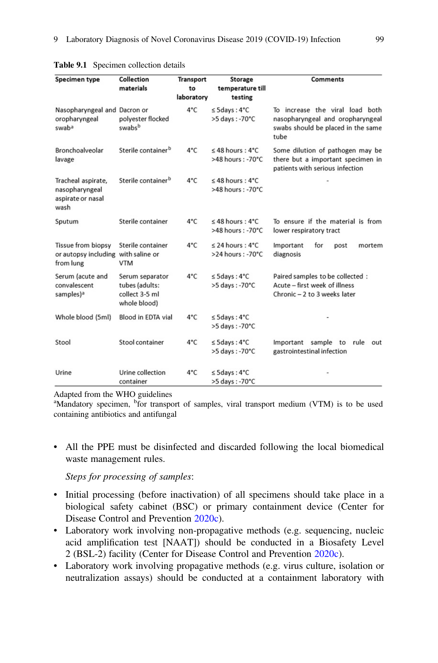| Specimen type                                                     | Collection<br>materials                                             | <b>Transport</b><br>to<br>laboratory | <b>Storage</b><br>temperature till<br>testing         | <b>Comments</b>                                                                                                   |
|-------------------------------------------------------------------|---------------------------------------------------------------------|--------------------------------------|-------------------------------------------------------|-------------------------------------------------------------------------------------------------------------------|
| Nasopharyngeal and Dacron or<br>oropharyngeal<br>swaba            | polyester flocked<br>swabsb                                         | 4°C                                  | $\leq$ 5days: 4°C<br>>5 days: -70°C                   | To increase the viral load both<br>nasopharyngeal and oropharyngeal<br>swabs should be placed in the same<br>tube |
| Bronchoalveolar<br>lavage                                         | Sterile container <sup>b</sup>                                      | 4°C                                  | $\leq$ 48 hours: 4°C<br>>48 hours: -70°C              | Some dilution of pathogen may be<br>there but a important specimen in<br>patients with serious infection          |
| Tracheal aspirate,<br>nasopharyngeal<br>aspirate or nasal<br>wash | Sterile container <sup>b</sup>                                      | 4°C                                  | $\leq$ 48 hours: 4°C<br>>48 hours: -70°C              |                                                                                                                   |
| Sputum                                                            | Sterile container                                                   | 4°C                                  | $\leq$ 48 hours: 4°C<br>$>48$ hours: -70 $^{\circ}$ C | To ensure if the material is from<br>lower respiratory tract                                                      |
| <b>Tissue from biopsy</b><br>or autopsy including<br>from lung    | Sterile container<br>with saline or<br><b>VTM</b>                   | 4°C                                  | $\leq$ 24 hours: 4°C<br>>24 hours: -70°C              | Important<br>for<br>mortem<br>post<br>diagnosis                                                                   |
| Serum (acute and<br>convalescent<br>samples) <sup>a</sup>         | Serum separator<br>tubes (adults:<br>collect 3-5 ml<br>whole blood) | 4°C                                  | $\leq$ 5days: 4°C<br>>5 days: -70°C                   | Paired samples to be collected :<br>Acute - first week of illness<br>Chronic - 2 to 3 weeks later                 |
| Whole blood (5ml)                                                 | Blood in EDTA vial                                                  | 4°C                                  | $\leq$ 5days: 4°C<br>>5 days: -70°C                   |                                                                                                                   |
| Stool                                                             | Stool container                                                     | 4°C                                  | $\leq$ 5days: 4°C<br>>5 days: -70°C                   | sample<br>rule<br>Important<br>to<br>out<br>gastrointestinal infection                                            |
| Urine                                                             | Urine collection<br>container                                       | 4°C                                  | $\leq$ 5days: 4°C<br>>5 days: -70°C                   |                                                                                                                   |

<span id="page-4-0"></span>

|  | <b>Table 9.1</b> Specimen collection details |  |  |
|--|----------------------------------------------|--|--|
|--|----------------------------------------------|--|--|

Adapted from the WHO guidelines

<sup>a</sup>Mandatory specimen, <sup>b</sup>for transport of samples, viral transport medium (VTM) is to be used containing antibiotics and antifungal

• All the PPE must be disinfected and discarded following the local biomedical waste management rules.

Steps for processing of samples:

- Initial processing (before inactivation) of all specimens should take place in a biological safety cabinet (BSC) or primary containment device (Center for Disease Control and Prevention [2020c](#page-12-8)).
- Laboratory work involving non-propagative methods (e.g. sequencing, nucleic acid amplification test [NAAT]) should be conducted in a Biosafety Level 2 (BSL-2) facility (Center for Disease Control and Prevention [2020c\)](#page-12-8).
- Laboratory work involving propagative methods (e.g. virus culture, isolation or neutralization assays) should be conducted at a containment laboratory with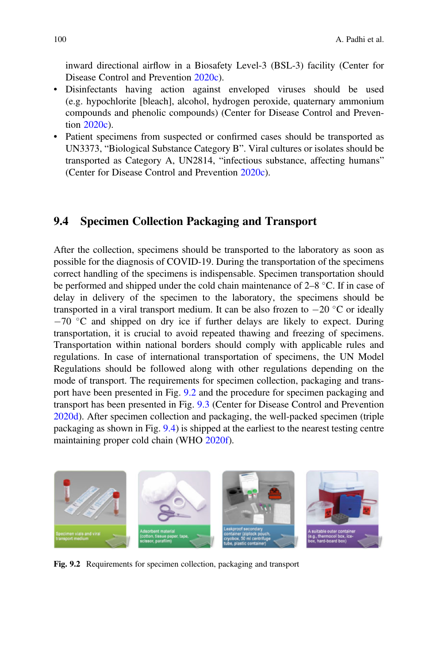inward directional airflow in a Biosafety Level-3 (BSL-3) facility (Center for Disease Control and Prevention [2020c](#page-12-8)).

- Disinfectants having action against enveloped viruses should be used (e.g. hypochlorite [bleach], alcohol, hydrogen peroxide, quaternary ammonium compounds and phenolic compounds) (Center for Disease Control and Prevention [2020c](#page-12-8)).
- Patient specimens from suspected or confirmed cases should be transported as UN3373, "Biological Substance Category B". Viral cultures or isolates should be transported as Category A, UN2814, "infectious substance, affecting humans" (Center for Disease Control and Prevention [2020c\)](#page-12-8).

### 9.4 Specimen Collection Packaging and Transport

After the collection, specimens should be transported to the laboratory as soon as possible for the diagnosis of COVID-19. During the transportation of the specimens correct handling of the specimens is indispensable. Specimen transportation should be performed and shipped under the cold chain maintenance of  $2-8$  °C. If in case of delay in delivery of the specimen to the laboratory, the specimens should be transported in a viral transport medium. It can be also frozen to  $-20$  °C or ideally  $-70$  °C and shipped on dry ice if further delays are likely to expect. During transportation, it is crucial to avoid repeated thawing and freezing of specimens. Transportation within national borders should comply with applicable rules and regulations. In case of international transportation of specimens, the UN Model Regulations should be followed along with other regulations depending on the mode of transport. The requirements for specimen collection, packaging and transport have been presented in Fig. [9.2](#page-5-0) and the procedure for specimen packaging and transport has been presented in Fig. [9.3](#page-6-0) (Center for Disease Control and Prevention [2020d\)](#page-12-9). After specimen collection and packaging, the well-packed specimen (triple packaging as shown in Fig. [9.4](#page-7-0)) is shipped at the earliest to the nearest testing centre maintaining proper cold chain (WHO [2020f](#page-12-10)).

<span id="page-5-0"></span>

Fig. 9.2 Requirements for specimen collection, packaging and transport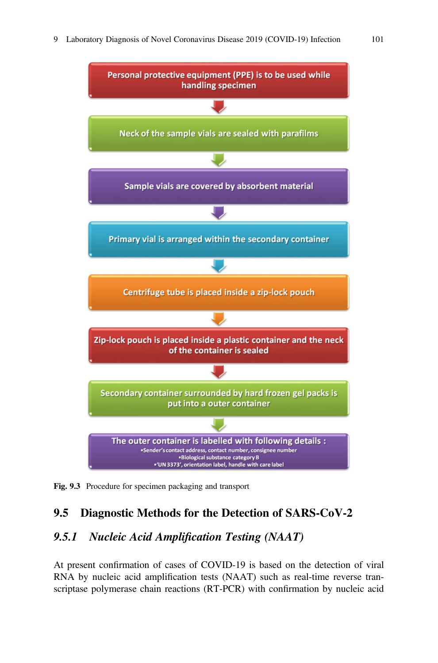<span id="page-6-0"></span>

Fig. 9.3 Procedure for specimen packaging and transport

# 9.5 Diagnostic Methods for the Detection of SARS-CoV-2

## 9.5.1 Nucleic Acid Amplification Testing (NAAT)

At present confirmation of cases of COVID-19 is based on the detection of viral RNA by nucleic acid amplification tests (NAAT) such as real-time reverse transcriptase polymerase chain reactions (RT-PCR) with confirmation by nucleic acid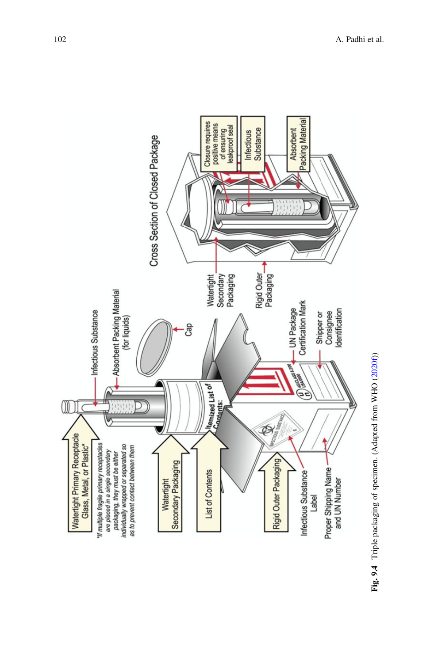<span id="page-7-0"></span>

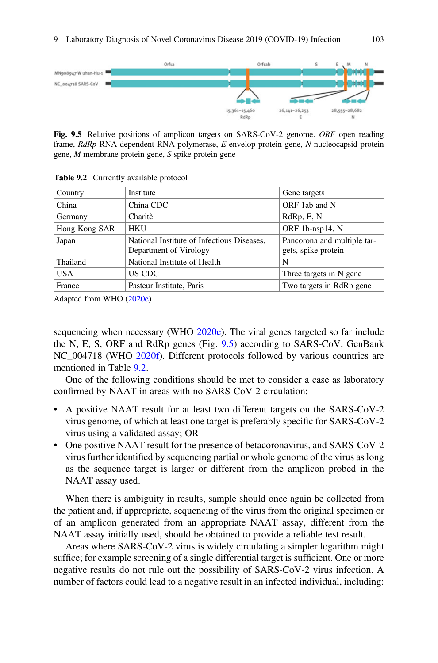<span id="page-8-0"></span>

Fig. 9.5 Relative positions of amplicon targets on SARS-CoV-2 genome. ORF open reading frame, RdRp RNA-dependent RNA polymerase, E envelop protein gene, N nucleocapsid protein gene, M membrane protein gene, S spike protein gene

| Country       | Institute                                                            | Gene targets                                       |
|---------------|----------------------------------------------------------------------|----------------------------------------------------|
| China         | China CDC                                                            | ORF 1ab and N                                      |
| Germany       | Charitè                                                              | RdRp, E, N                                         |
| Hong Kong SAR | <b>HKU</b>                                                           | ORF 1b-nsp14, N                                    |
| Japan         | National Institute of Infectious Diseases,<br>Department of Virology | Pancorona and multiple tar-<br>gets, spike protein |
| Thailand      | National Institute of Health                                         | N                                                  |
| <b>USA</b>    | US CDC                                                               | Three targets in N gene                            |
| France        | Pasteur Institute, Paris                                             | Two targets in RdRp gene                           |

<span id="page-8-1"></span>Table 9.2 Currently available protocol

Adapted from WHO ([2020e](#page-12-5))

sequencing when necessary (WHO [2020e\)](#page-12-5). The viral genes targeted so far include the N, E, S, ORF and RdRp genes (Fig. [9.5\)](#page-8-0) according to SARS-CoV, GenBank NC\_004718 (WHO [2020f\)](#page-12-10). Different protocols followed by various countries are mentioned in Table [9.2.](#page-8-1)

One of the following conditions should be met to consider a case as laboratory confirmed by NAAT in areas with no SARS-CoV-2 circulation:

- A positive NAAT result for at least two different targets on the SARS-CoV-2 virus genome, of which at least one target is preferably specific for SARS-CoV-2 virus using a validated assay; OR
- One positive NAAT result for the presence of betacoronavirus, and SARS-CoV-2 virus further identified by sequencing partial or whole genome of the virus as long as the sequence target is larger or different from the amplicon probed in the NAAT assay used.

When there is ambiguity in results, sample should once again be collected from the patient and, if appropriate, sequencing of the virus from the original specimen or of an amplicon generated from an appropriate NAAT assay, different from the NAAT assay initially used, should be obtained to provide a reliable test result.

Areas where SARS-CoV-2 virus is widely circulating a simpler logarithm might suffice; for example screening of a single differential target is sufficient. One or more negative results do not rule out the possibility of SARS-CoV-2 virus infection. A number of factors could lead to a negative result in an infected individual, including: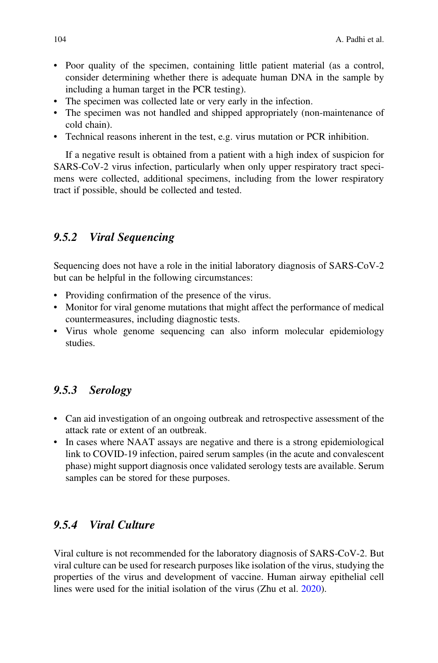- Poor quality of the specimen, containing little patient material (as a control, consider determining whether there is adequate human DNA in the sample by including a human target in the PCR testing).
- The specimen was collected late or very early in the infection.
- The specimen was not handled and shipped appropriately (non-maintenance of cold chain).
- Technical reasons inherent in the test, e.g. virus mutation or PCR inhibition.

If a negative result is obtained from a patient with a high index of suspicion for SARS-CoV-2 virus infection, particularly when only upper respiratory tract specimens were collected, additional specimens, including from the lower respiratory tract if possible, should be collected and tested.

## 9.5.2 Viral Sequencing

Sequencing does not have a role in the initial laboratory diagnosis of SARS-CoV-2 but can be helpful in the following circumstances:

- Providing confirmation of the presence of the virus.
- Monitor for viral genome mutations that might affect the performance of medical countermeasures, including diagnostic tests.
- Virus whole genome sequencing can also inform molecular epidemiology studies.

## 9.5.3 Serology

- Can aid investigation of an ongoing outbreak and retrospective assessment of the attack rate or extent of an outbreak.
- In cases where NAAT assays are negative and there is a strong epidemiological link to COVID-19 infection, paired serum samples (in the acute and convalescent phase) might support diagnosis once validated serology tests are available. Serum samples can be stored for these purposes.

## 9.5.4 Viral Culture

Viral culture is not recommended for the laboratory diagnosis of SARS-CoV-2. But viral culture can be used for research purposes like isolation of the virus, studying the properties of the virus and development of vaccine. Human airway epithelial cell lines were used for the initial isolation of the virus (Zhu et al. [2020](#page-12-1)).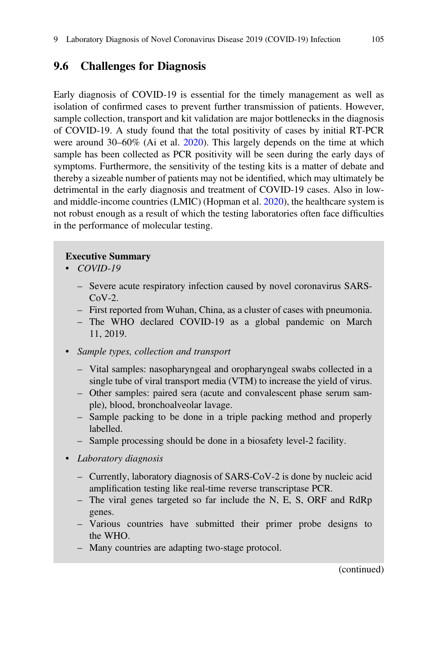## 9.6 Challenges for Diagnosis

Early diagnosis of COVID-19 is essential for the timely management as well as isolation of confirmed cases to prevent further transmission of patients. However, sample collection, transport and kit validation are major bottlenecks in the diagnosis of COVID-19. A study found that the total positivity of cases by initial RT-PCR were around 30–60% (Ai et al. [2020](#page-11-1)). This largely depends on the time at which sample has been collected as PCR positivity will be seen during the early days of symptoms. Furthermore, the sensitivity of the testing kits is a matter of debate and thereby a sizeable number of patients may not be identified, which may ultimately be detrimental in the early diagnosis and treatment of COVID-19 cases. Also in lowand middle-income countries (LMIC) (Hopman et al. [2020\)](#page-12-11), the healthcare system is not robust enough as a result of which the testing laboratories often face difficulties in the performance of molecular testing.

#### Executive Summary

- COVID-19
	- Severe acute respiratory infection caused by novel coronavirus SARS- $CoV-2$ .
	- First reported from Wuhan, China, as a cluster of cases with pneumonia.
	- The WHO declared COVID-19 as a global pandemic on March 11, 2019.

#### • Sample types, collection and transport

- Vital samples: nasopharyngeal and oropharyngeal swabs collected in a single tube of viral transport media (VTM) to increase the yield of virus.
- Other samples: paired sera (acute and convalescent phase serum sample), blood, bronchoalveolar lavage.
- Sample packing to be done in a triple packing method and properly labelled.
- Sample processing should be done in a biosafety level-2 facility.
- Laboratory diagnosis
	- Currently, laboratory diagnosis of SARS-CoV-2 is done by nucleic acid amplification testing like real-time reverse transcriptase PCR.
	- The viral genes targeted so far include the N, E, S, ORF and RdRp genes.
	- Various countries have submitted their primer probe designs to the WHO.
	- Many countries are adapting two-stage protocol.

(continued)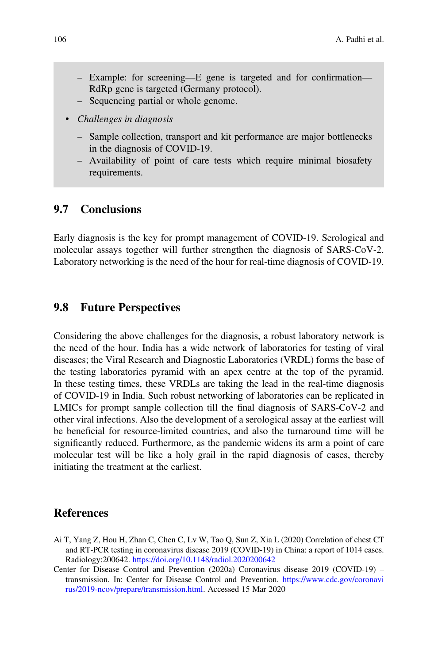- Example: for screening—E gene is targeted and for confirmation— RdRp gene is targeted (Germany protocol).
- Sequencing partial or whole genome.
- Challenges in diagnosis
	- Sample collection, transport and kit performance are major bottlenecks in the diagnosis of COVID-19.
	- Availability of point of care tests which require minimal biosafety requirements.

## 9.7 Conclusions

Early diagnosis is the key for prompt management of COVID-19. Serological and molecular assays together will further strengthen the diagnosis of SARS-CoV-2. Laboratory networking is the need of the hour for real-time diagnosis of COVID-19.

#### 9.8 Future Perspectives

Considering the above challenges for the diagnosis, a robust laboratory network is the need of the hour. India has a wide network of laboratories for testing of viral diseases; the Viral Research and Diagnostic Laboratories (VRDL) forms the base of the testing laboratories pyramid with an apex centre at the top of the pyramid. In these testing times, these VRDLs are taking the lead in the real-time diagnosis of COVID-19 in India. Such robust networking of laboratories can be replicated in LMICs for prompt sample collection till the final diagnosis of SARS-CoV-2 and other viral infections. Also the development of a serological assay at the earliest will be beneficial for resource-limited countries, and also the turnaround time will be significantly reduced. Furthermore, as the pandemic widens its arm a point of care molecular test will be like a holy grail in the rapid diagnosis of cases, thereby initiating the treatment at the earliest.

#### References

<span id="page-11-1"></span>Ai T, Yang Z, Hou H, Zhan C, Chen C, Lv W, Tao Q, Sun Z, Xia L (2020) Correlation of chest CT and RT-PCR testing in coronavirus disease 2019 (COVID-19) in China: a report of 1014 cases. Radiology:200642. <https://doi.org/10.1148/radiol.2020200642>

<span id="page-11-0"></span>Center for Disease Control and Prevention (2020a) Coronavirus disease 2019 (COVID-19) – transmission. In: Center for Disease Control and Prevention. [https://www.cdc.gov/coronavi](https://www.cdc.gov/coronavirus/2019-ncov/prepare/transmission.html) [rus/2019-ncov/prepare/transmission.html.](https://www.cdc.gov/coronavirus/2019-ncov/prepare/transmission.html) Accessed 15 Mar 2020